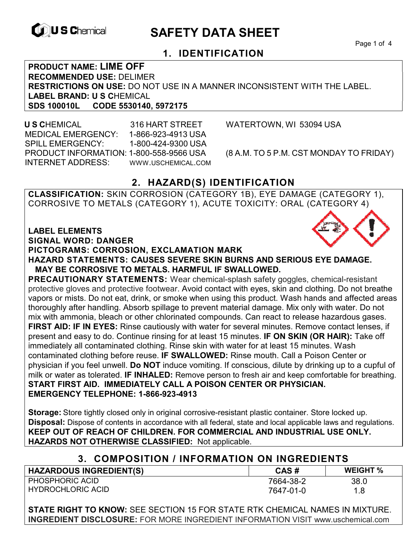

# **EXAGREM** SAFETY DATA SHEET

Page 1 of 4

## **1. IDENTIFICATION**

**PRODUCT NAME: LIME OFF RECOMMENDED USE:** DELIMER **RESTRICTIONS ON USE:** DO NOT USE IN A MANNER INCONSISTENT WITH THE LABEL. LABEL BRAND: U S CHEMICAL<br>SDS 100010L CODE 5530140 **SDS 100010L CODE 5530140, 5972175** 

 **U S C**HEMICAL 316 HART STREET WATERTOWN, WI 53094 USA MEDICAL EMERGENCY: 1-866-923-4913 USA SPILL EMERGENCY: 1-800-424-9300 USA PRODUCT INFORMATION: 1-800-558-9566 USA (8 A.M. TO 5 P.M. CST MONDAY TO FRIDAY) INTERNET ADDRESS: WWW.USCHEMICAL.COM

## **2. HAZARD(S) IDENTIFICATION**

**CLASSIFICATION:** SKIN CORROSION (CATEGORY 1B), EYE DAMAGE (CATEGORY 1), CORROSIVE TO METALS (CATEGORY 1), ACUTE TOXICITY: ORAL (CATEGORY 4)

**LABEL ELEMENTS** 

**SIGNAL WORD: DANGER**

#### **PICTOGRAMS: CORROSION, EXCLAMATION MARK**

**HAZARD STATEMENTS: CAUSES SEVERE SKIN BURNS AND SERIOUS EYE DAMAGE. MAY BE CORROSIVE TO METALS. HARMFUL IF SWALLOWED.** 

**PRECAUTIONARY STATEMENTS:** Wear chemical-splash safety goggles, chemical-resistant protective gloves and protective footwear. Avoid contact with eyes, skin and clothing. Do not breathe vapors or mists. Do not eat, drink, or smoke when using this product. Wash hands and affected areas thoroughly after handling. Absorb spillage to prevent material damage. Mix only with water. Do not mix with ammonia, bleach or other chlorinated compounds. Can react to release hazardous gases. **FIRST AID: IF IN EYES:** Rinse cautiously with water for several minutes. Remove contact lenses, if present and easy to do. Continue rinsing for at least 15 minutes. **IF ON SKIN (OR HAIR):** Take off immediately all contaminated clothing. Rinse skin with water for at least 15 minutes. Wash contaminated clothing before reuse. **IF SWALLOWED:** Rinse mouth. Call a Poison Center or physician if you feel unwell. **Do NOT** induce vomiting. If conscious, dilute by drinking up to a cupful of milk or water as tolerated. **IF INHALED:** Remove person to fresh air and keep comfortable for breathing. **START FIRST AID. IMMEDIATELY CALL A POISON CENTER OR PHYSICIAN. EMERGENCY TELEPHONE: 1-866-923-4913** 

**Storage:** Store tightly closed only in original corrosive-resistant plastic container. Store locked up. **Disposal:** Dispose of contents in accordance with all federal, state and local applicable laws and regulations. **KEEP OUT OF REACH OF CHILDREN. FOR COMMERCIAL AND INDUSTRIAL USE ONLY. HAZARDS NOT OTHERWISE CLASSIFIED:** Not applicable.

#### **3. COMPOSITION / INFORMATION ON INGREDIENTS**

| <b>HAZARDOUS INGREDIENT(S)</b> | CAS#      | <b>WEIGHT %</b> |
|--------------------------------|-----------|-----------------|
| <b>PHOSPHORIC ACID</b>         | 7664-38-2 | 38.0            |
| <b>HYDROCHLORIC ACID</b>       | 7647-01-0 | 1.8             |

**STATE RIGHT TO KNOW:** SEE SECTION 15 FOR STATE RTK CHEMICAL NAMES IN MIXTURE. **INGREDIENT DISCLOSURE:** FOR MORE INGREDIENT INFORMATION VISIT www.uschemical.com

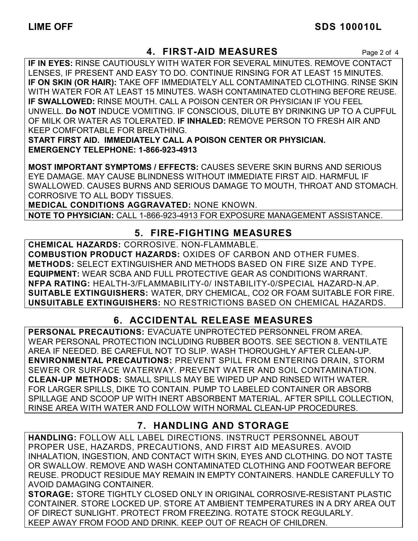## **LIME OFF SDS 100010L**

## **4. FIRST-AID MEASURES** Page 2 of 4

**IF IN EYES:** RINSE CAUTIOUSLY WITH WATER FOR SEVERAL MINUTES. REMOVE CONTACT LENSES, IF PRESENT AND EASY TO DO. CONTINUE RINSING FOR AT LEAST 15 MINUTES. **IF ON SKIN (OR HAIR):** TAKE OFF IMMEDIATELY ALL CONTAMINATED CLOTHING. RINSE SKIN WITH WATER FOR AT LEAST 15 MINUTES. WASH CONTAMINATED CLOTHING BEFORE REUSE. **IF SWALLOWED:** RINSE MOUTH. CALL A POISON CENTER OR PHYSICIAN IF YOU FEEL UNWELL. **Do NOT** INDUCE VOMITING. IF CONSCIOUS, DILUTE BY DRINKING UP TO A CUPFUL OF MILK OR WATER AS TOLERATED. **IF INHALED:** REMOVE PERSON TO FRESH AIR AND KEEP COMFORTABLE FOR BREATHING.

**START FIRST AID. IMMEDIATELY CALL A POISON CENTER OR PHYSICIAN. EMERGENCY TELEPHONE: 1-866-923-4913**

**MOST IMPORTANT SYMPTOMS / EFFECTS:** CAUSES SEVERE SKIN BURNS AND SERIOUS EYE DAMAGE. MAY CAUSE BLINDNESS WITHOUT IMMEDIATE FIRST AID. HARMFUL IF SWALLOWED. CAUSES BURNS AND SERIOUS DAMAGE TO MOUTH, THROAT AND STOMACH. CORROSIVE TO ALL BODY TISSUES.

**MEDICAL CONDITIONS AGGRAVATED:** NONE KNOWN.

**NOTE TO PHYSICIAN:** CALL 1-866-923-4913 FOR EXPOSURE MANAGEMENT ASSISTANCE.

## **5. FIRE-FIGHTING MEASURES**

**CHEMICAL HAZARDS:** CORROSIVE. NON-FLAMMABLE. **COMBUSTION PRODUCT HAZARDS:** OXIDES OF CARBON AND OTHER FUMES. **METHODS:** SELECT EXTINGUISHER AND METHODS BASED ON FIRE SIZE AND TYPE. **EQUIPMENT:** WEAR SCBA AND FULL PROTECTIVE GEAR AS CONDITIONS WARRANT. **NFPA RATING:** HEALTH-3/FLAMMABILITY-0/ INSTABILITY-0/SPECIAL HAZARD-N.AP. **SUITABLE EXTINGUISHERS:** WATER, DRY CHEMICAL, CO2 OR FOAM SUITABLE FOR FIRE. **UNSUITABLE EXTINGUISHERS:** NO RESTRICTIONS BASED ON CHEMICAL HAZARDS.

## **6. ACCIDENTAL RELEASE MEASURES**

**PERSONAL PRECAUTIONS:** EVACUATE UNPROTECTED PERSONNEL FROM AREA. WEAR PERSONAL PROTECTION INCLUDING RUBBER BOOTS. SEE SECTION 8. VENTILATE AREA IF NEEDED. BE CAREFUL NOT TO SLIP. WASH THOROUGHLY AFTER CLEAN-UP. **ENVIRONMENTAL PRECAUTIONS:** PREVENT SPILL FROM ENTERING DRAIN, STORM SEWER OR SURFACE WATERWAY. PREVENT WATER AND SOIL CONTAMINATION. **CLEAN-UP METHODS:** SMALL SPILLS MAY BE WIPED UP AND RINSED WITH WATER. FOR LARGER SPILLS, DIKE TO CONTAIN. PUMP TO LABELED CONTAINER OR ABSORB SPILLAGE AND SCOOP UP WITH INERT ABSORBENT MATERIAL. AFTER SPILL COLLECTION, RINSE AREA WITH WATER AND FOLLOW WITH NORMAL CLEAN-UP PROCEDURES.

## **7. HANDLING AND STORAGE**

**HANDLING:** FOLLOW ALL LABEL DIRECTIONS. INSTRUCT PERSONNEL ABOUT PROPER USE, HAZARDS, PRECAUTIONS, AND FIRST AID MEASURES. AVOID INHALATION, INGESTION, AND CONTACT WITH SKIN, EYES AND CLOTHING. DO NOT TASTE OR SWALLOW. REMOVE AND WASH CONTAMINATED CLOTHING AND FOOTWEAR BEFORE REUSE. PRODUCT RESIDUE MAY REMAIN IN EMPTY CONTAINERS. HANDLE CAREFULLY TO AVOID DAMAGING CONTAINER.

**STORAGE:** STORE TIGHTLY CLOSED ONLY IN ORIGINAL CORROSIVE-RESISTANT PLASTIC CONTAINER. STORE LOCKED UP. STORE AT AMBIENT TEMPERATURES IN A DRY AREA OUT OF DIRECT SUNLIGHT. PROTECT FROM FREEZING. ROTATE STOCK REGULARLY. KEEP AWAY FROM FOOD AND DRINK. KEEP OUT OF REACH OF CHILDREN.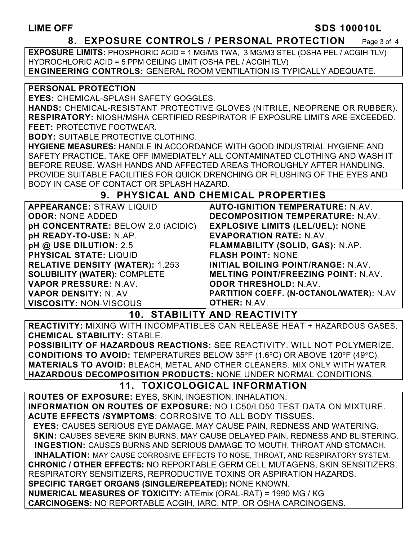#### **LIME OFF SDS 100010L**

#### **8. EXPOSURE CONTROLS / PERSONAL PROTECTION** Page 3 of 4

**EXPOSURE LIMITS:** PHOSPHORIC ACID = 1 MG/M3 TWA, 3 MG/M3 STEL (OSHA PEL / ACGIH TLV) HYDROCHLORIC ACID = 5 PPM CEILING LIMIT (OSHA PEL / ACGIH TLV) **ENGINEERING CONTROLS:** GENERAL ROOM VENTILATION IS TYPICALLY ADEQUATE.

#### **PERSONAL PROTECTION**

**EYES:** CHEMICAL-SPLASH SAFETY GOGGLES.

**HANDS:** CHEMICAL-RESISTANT PROTECTIVE GLOVES (NITRILE, NEOPRENE OR RUBBER). **RESPIRATORY:** NIOSH/MSHA CERTIFIED RESPIRATOR IF EXPOSURE LIMITS ARE EXCEEDED. **FEET:** PROTECTIVE FOOTWEAR.

**BODY:** SUITABLE PROTECTIVE CLOTHING.

**HYGIENE MEASURES:** HANDLE IN ACCORDANCE WITH GOOD INDUSTRIAL HYGIENE AND SAFETY PRACTICE. TAKE OFF IMMEDIATELY ALL CONTAMINATED CLOTHING AND WASH IT BEFORE REUSE. WASH HANDS AND AFFECTED AREAS THOROUGHLY AFTER HANDLING. PROVIDE SUITABLE FACILITIES FOR QUICK DRENCHING OR FLUSHING OF THE EYES AND BODY IN CASE OF CONTACT OR SPLASH HAZARD.

### **9. PHYSICAL AND CHEMICAL PROPERTIES**

| <b>APPEARANCE: STRAW LIQUID</b>           | <b>AUTO-IGNITION TEMPERATURE: N.AV.</b>    |
|-------------------------------------------|--------------------------------------------|
| <b>ODOR: NONE ADDED</b>                   | DECOMPOSITION TEMPERATURE: N.AV.           |
| <b>pH CONCENTRATE: BELOW 2.0 (ACIDIC)</b> | <b>EXPLOSIVE LIMITS (LEL/UEL): NONE</b>    |
| pH READY-TO-USE: N.AP.                    | <b>EVAPORATION RATE: N.AV.</b>             |
| pH @ USE DILUTION: 2.5                    | FLAMMABILITY (SOLID, GAS): N.AP.           |
| <b>PHYSICAL STATE: LIQUID</b>             | <b>FLASH POINT: NONE</b>                   |
| <b>RELATIVE DENSITY (WATER): 1.253</b>    | <b>INITIAL BOILING POINT/RANGE: N.AV.</b>  |
| <b>SOLUBILITY (WATER): COMPLETE</b>       | <b>MELTING POINT/FREEZING POINT: N.AV.</b> |
| VAPOR PRESSURE: N.AV.                     | <b>ODOR THRESHOLD: N.AV.</b>               |
| <b>VAPOR DENSITY: N. AV.</b>              | PARTITION COEFF. (N-OCTANOL/WATER): N.AV   |
| <b>VISCOSITY: NON-VISCOUS</b>             | <b>OTHER: N.AV.</b>                        |

**10. STABILITY AND REACTIVITY** 

**REACTIVITY:** MIXING WITH INCOMPATIBLES CAN RELEASE HEAT + HAZARDOUS GASES. **CHEMICAL STABILITY:** STABLE.

**POSSIBILITY OF HAZARDOUS REACTIONS:** SEE REACTIVITY. WILL NOT POLYMERIZE. **CONDITIONS TO AVOID:** TEMPERATURES BELOW 35°F (1.6°C) OR ABOVE 120°F (49°C). **MATERIALS TO AVOID:** BLEACH, METAL AND OTHER CLEANERS. MIX ONLY WITH WATER. **HAZARDOUS DECOMPOSITION PRODUCTS:** NONE UNDER NORMAL CONDITIONS.

## **11. TOXICOLOGICAL INFORMATION**

**ROUTES OF EXPOSURE:** EYES, SKIN, INGESTION, INHALATION. **INFORMATION ON ROUTES OF EXPOSURE:** NO LC50/LD50 TEST DATA ON MIXTURE. **ACUTE EFFECTS /SYMPTOMS**: CORROSIVE TO ALL BODY TISSUES.  **EYES:** CAUSES SERIOUS EYE DAMAGE. MAY CAUSE PAIN, REDNESS AND WATERING.  **SKIN:** CAUSES SEVERE SKIN BURNS. MAY CAUSE DELAYED PAIN, REDNESS AND BLISTERING. **INGESTION:** CAUSES BURNS AND SERIOUS DAMAGE TO MOUTH, THROAT AND STOMACH. **INHALATION:** MAY CAUSE CORROSIVE EFFECTS TO NOSE, THROAT, AND RESPIRATORY SYSTEM. **CHRONIC / OTHER EFFECTS:** NO REPORTABLE GERM CELL MUTAGENS, SKIN SENSITIZERS, RESPIRATORY SENSITIZERS, REPRODUCTIVE TOXINS OR ASPIRATION HAZARDS. **SPECIFIC TARGET ORGANS (SINGLE/REPEATED):** NONE KNOWN. **NUMERICAL MEASURES OF TOXICITY:** ATEmix (ORAL-RAT) = 1990 MG / KG **CARCINOGENS:** NO REPORTABLE ACGIH, IARC, NTP, OR OSHA CARCINOGENS.